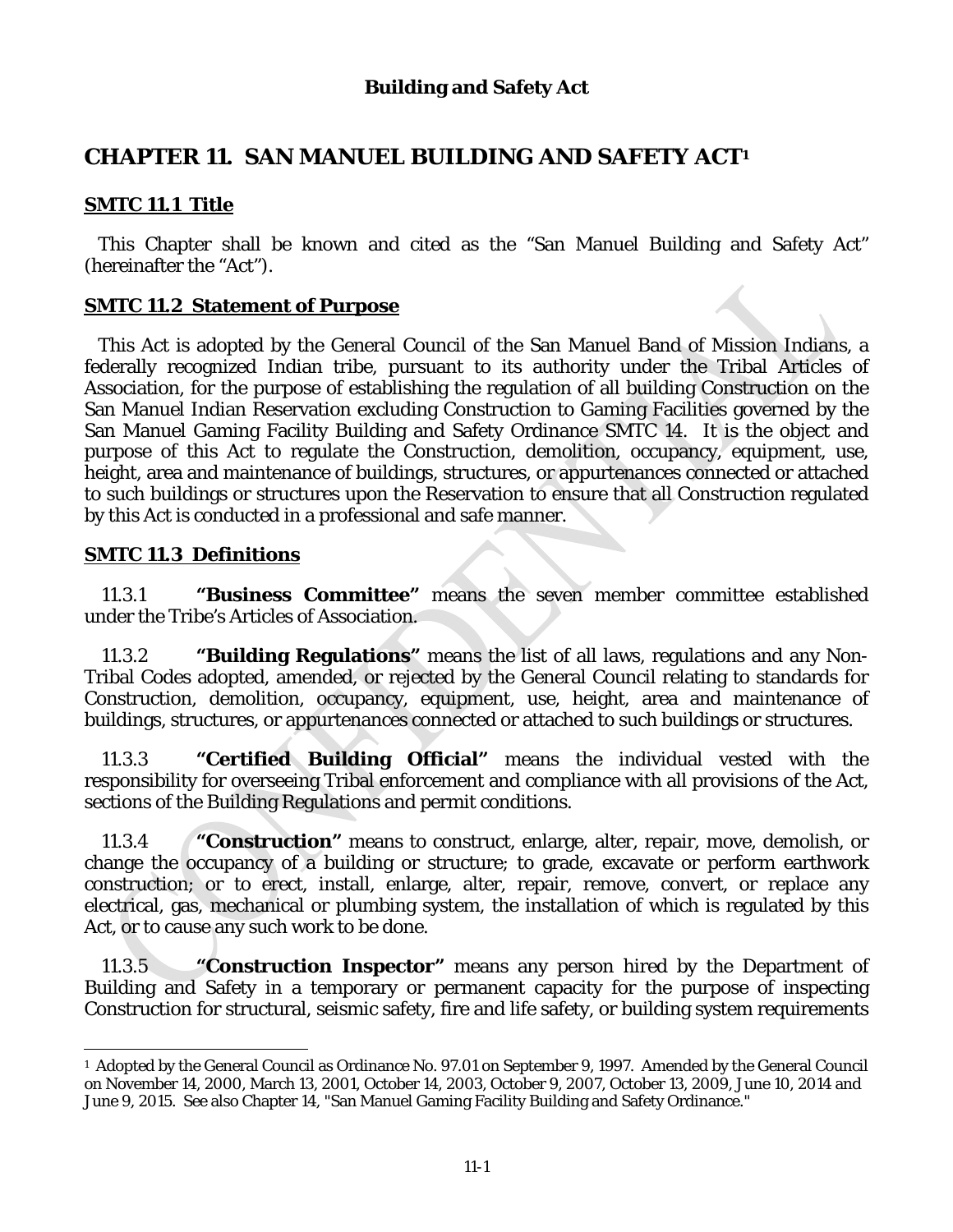# **CHAPTER 11. SAN MANUEL BUILDING AND SAFETY ACT1**

# **SMTC 11.1 Title**

This Chapter shall be known and cited as the "San Manuel Building and Safety Act" (hereinafter the "Act").

## **SMTC 11.2 Statement of Purpose**

This Act is adopted by the General Council of the San Manuel Band of Mission Indians, a federally recognized Indian tribe, pursuant to its authority under the Tribal Articles of Association, for the purpose of establishing the regulation of all building Construction on the San Manuel Indian Reservation excluding Construction to Gaming Facilities governed by the San Manuel Gaming Facility Building and Safety Ordinance SMTC 14. It is the object and purpose of this Act to regulate the Construction, demolition, occupancy, equipment, use, height, area and maintenance of buildings, structures, or appurtenances connected or attached to such buildings or structures upon the Reservation to ensure that all Construction regulated by this Act is conducted in a professional and safe manner.

### **SMTC 11.3 Definitions**

 $\overline{a}$ 

11.3.1 **"Business Committee"** means the seven member committee established under the Tribe's Articles of Association.

11.3.2 **"Building Regulations"** means the list of all laws, regulations and any Non-Tribal Codes adopted, amended, or rejected by the General Council relating to standards for Construction, demolition, occupancy, equipment, use, height, area and maintenance of buildings, structures, or appurtenances connected or attached to such buildings or structures.

11.3.3 **"Certified Building Official"** means the individual vested with the responsibility for overseeing Tribal enforcement and compliance with all provisions of the Act, sections of the Building Regulations and permit conditions.

11.3.4 **"Construction"** means to construct, enlarge, alter, repair, move, demolish, or change the occupancy of a building or structure; to grade, excavate or perform earthwork construction; or to erect, install, enlarge, alter, repair, remove, convert, or replace any electrical, gas, mechanical or plumbing system, the installation of which is regulated by this Act, or to cause any such work to be done.

11.3.5 **"Construction Inspector"** means any person hired by the Department of Building and Safety in a temporary or permanent capacity for the purpose of inspecting Construction for structural, seismic safety, fire and life safety, or building system requirements

<sup>1</sup> Adopted by the General Council as Ordinance No. 97.01 on September 9, 1997. Amended by the General Council on November 14, 2000, March 13, 2001, October 14, 2003, October 9, 2007, October 13, 2009, June 10, 2014 and June 9, 2015. See also Chapter 14, "San Manuel Gaming Facility Building and Safety Ordinance."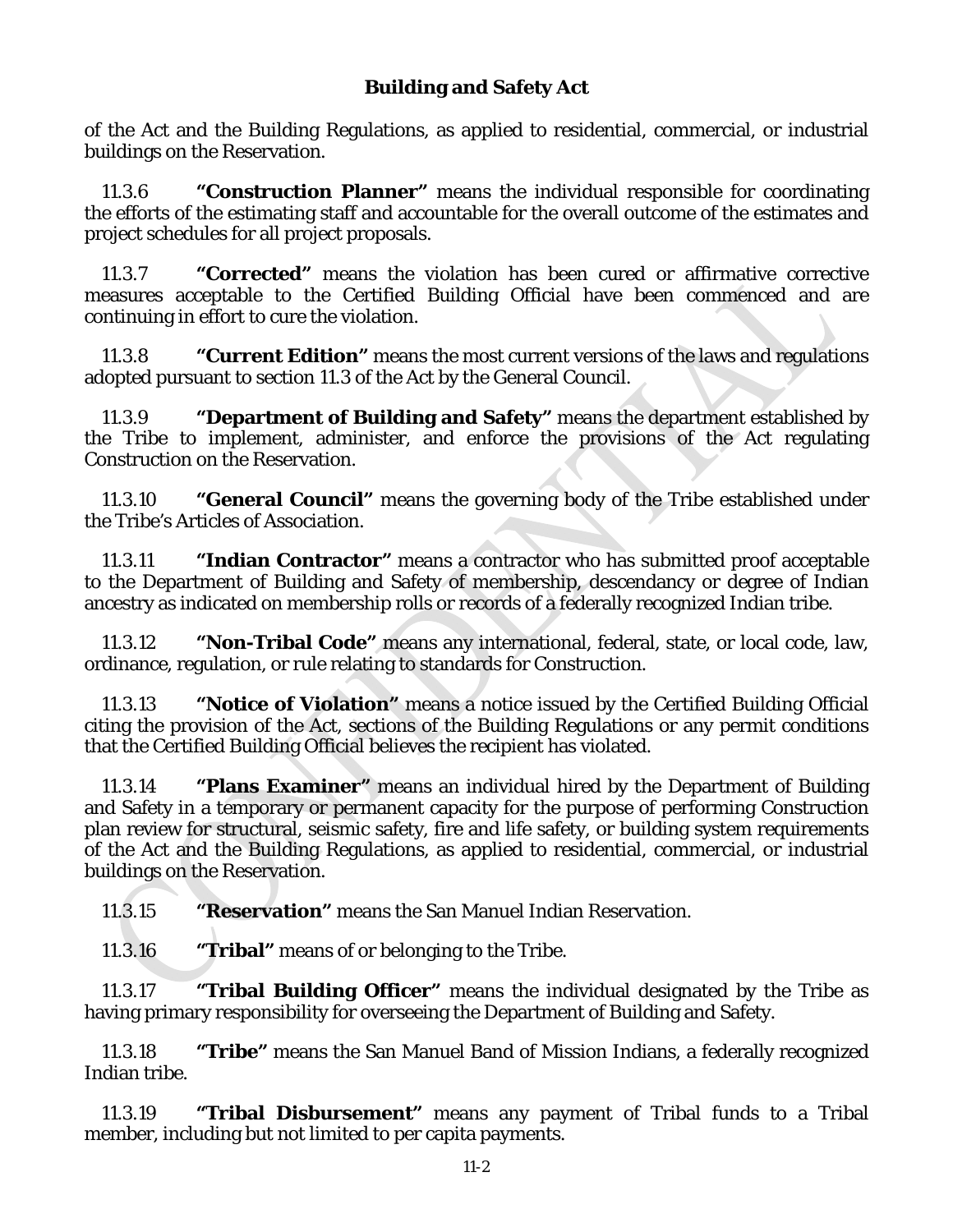of the Act and the Building Regulations, as applied to residential, commercial, or industrial buildings on the Reservation.

11.3.6 **"Construction Planner"** means the individual responsible for coordinating the efforts of the estimating staff and accountable for the overall outcome of the estimates and project schedules for all project proposals.

11.3.7 **"Corrected"** means the violation has been cured or affirmative corrective measures acceptable to the Certified Building Official have been commenced and are continuing in effort to cure the violation.

11.3.8 **"Current Edition"** means the most current versions of the laws and regulations adopted pursuant to section 11.3 of the Act by the General Council.

11.3.9 **"Department of Building and Safety"** means the department established by the Tribe to implement, administer, and enforce the provisions of the Act regulating Construction on the Reservation.

11.3.10 **"General Council"** means the governing body of the Tribe established under the Tribe's Articles of Association.

11.3.11 **"Indian Contractor"** means a contractor who has submitted proof acceptable to the Department of Building and Safety of membership, descendancy or degree of Indian ancestry as indicated on membership rolls or records of a federally recognized Indian tribe.

11.3.12 **"Non-Tribal Code"** means any international, federal, state, or local code, law, ordinance, regulation, or rule relating to standards for Construction.

11.3.13 **"Notice of Violation"** means a notice issued by the Certified Building Official citing the provision of the Act, sections of the Building Regulations or any permit conditions that the Certified Building Official believes the recipient has violated.

11.3.14 **"Plans Examiner"** means an individual hired by the Department of Building and Safety in a temporary or permanent capacity for the purpose of performing Construction plan review for structural, seismic safety, fire and life safety, or building system requirements of the Act and the Building Regulations, as applied to residential, commercial, or industrial buildings on the Reservation.

11.3.15 **"Reservation"** means the San Manuel Indian Reservation.

11.3.16 **"Tribal"** means of or belonging to the Tribe.

11.3.17 **"Tribal Building Officer"** means the individual designated by the Tribe as having primary responsibility for overseeing the Department of Building and Safety.

11.3.18 **"Tribe"** means the San Manuel Band of Mission Indians, a federally recognized Indian tribe.

11.3.19 **"Tribal Disbursement"** means any payment of Tribal funds to a Tribal member, including but not limited to per capita payments.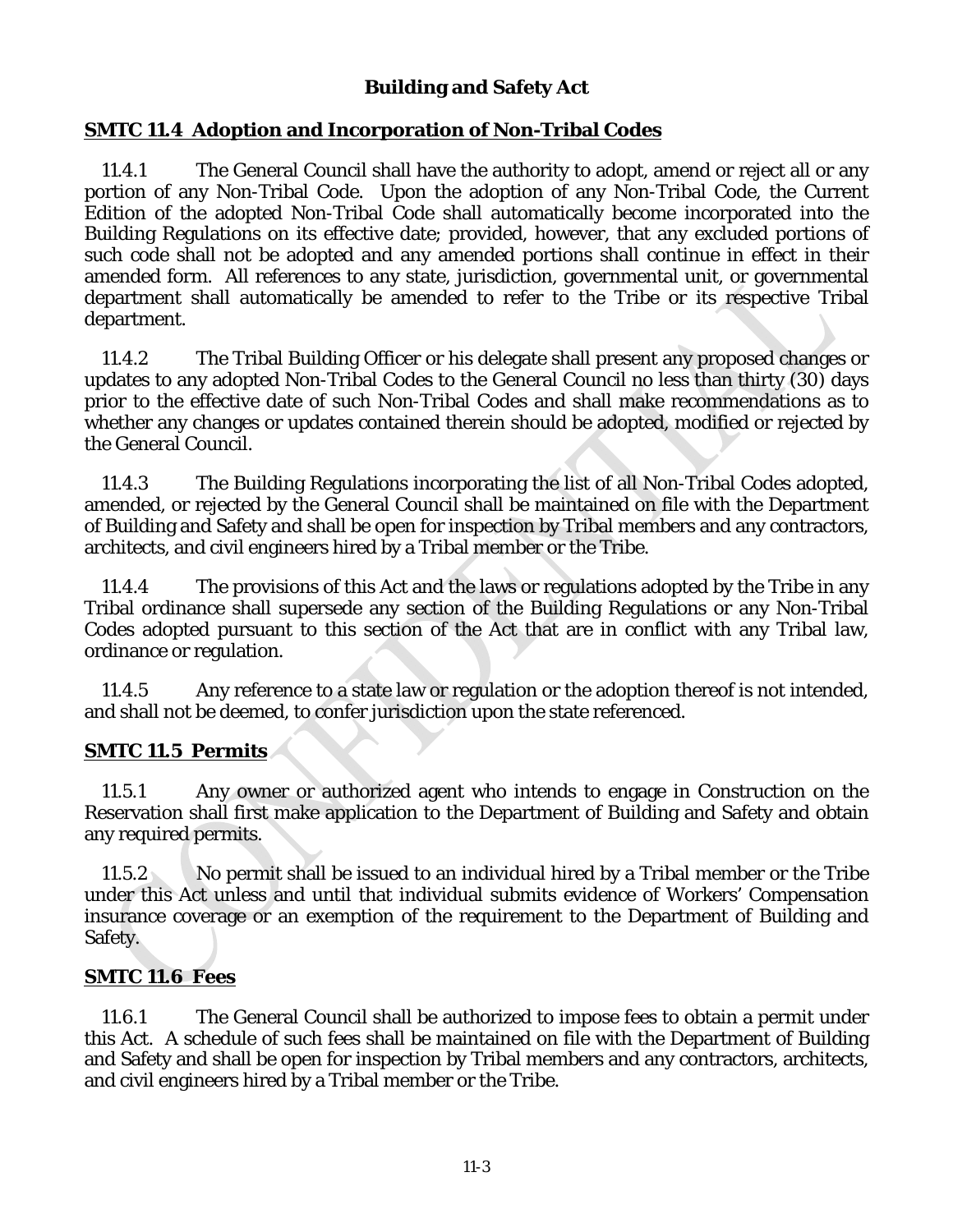### **SMTC 11.4 Adoption and Incorporation of Non-Tribal Codes**

11.4.1 The General Council shall have the authority to adopt, amend or reject all or any portion of any Non-Tribal Code. Upon the adoption of any Non-Tribal Code, the Current Edition of the adopted Non-Tribal Code shall automatically become incorporated into the Building Regulations on its effective date; provided, however, that any excluded portions of such code shall not be adopted and any amended portions shall continue in effect in their amended form. All references to any state, jurisdiction, governmental unit, or governmental department shall automatically be amended to refer to the Tribe or its respective Tribal department.

11.4.2 The Tribal Building Officer or his delegate shall present any proposed changes or updates to any adopted Non-Tribal Codes to the General Council no less than thirty (30) days prior to the effective date of such Non-Tribal Codes and shall make recommendations as to whether any changes or updates contained therein should be adopted, modified or rejected by the General Council.

11.4.3 The Building Regulations incorporating the list of all Non-Tribal Codes adopted, amended, or rejected by the General Council shall be maintained on file with the Department of Building and Safety and shall be open for inspection by Tribal members and any contractors, architects, and civil engineers hired by a Tribal member or the Tribe.

11.4.4 The provisions of this Act and the laws or regulations adopted by the Tribe in any Tribal ordinance shall supersede any section of the Building Regulations or any Non-Tribal Codes adopted pursuant to this section of the Act that are in conflict with any Tribal law, ordinance or regulation.

11.4.5 Any reference to a state law or regulation or the adoption thereof is not intended, and shall not be deemed, to confer jurisdiction upon the state referenced.

#### **SMTC 11.5 Permits**

11.5.1 Any owner or authorized agent who intends to engage in Construction on the Reservation shall first make application to the Department of Building and Safety and obtain any required permits.

11.5.2 No permit shall be issued to an individual hired by a Tribal member or the Tribe under this Act unless and until that individual submits evidence of Workers' Compensation insurance coverage or an exemption of the requirement to the Department of Building and Safety.

#### **SMTC 11.6 Fees**

11.6.1 The General Council shall be authorized to impose fees to obtain a permit under this Act. A schedule of such fees shall be maintained on file with the Department of Building and Safety and shall be open for inspection by Tribal members and any contractors, architects, and civil engineers hired by a Tribal member or the Tribe.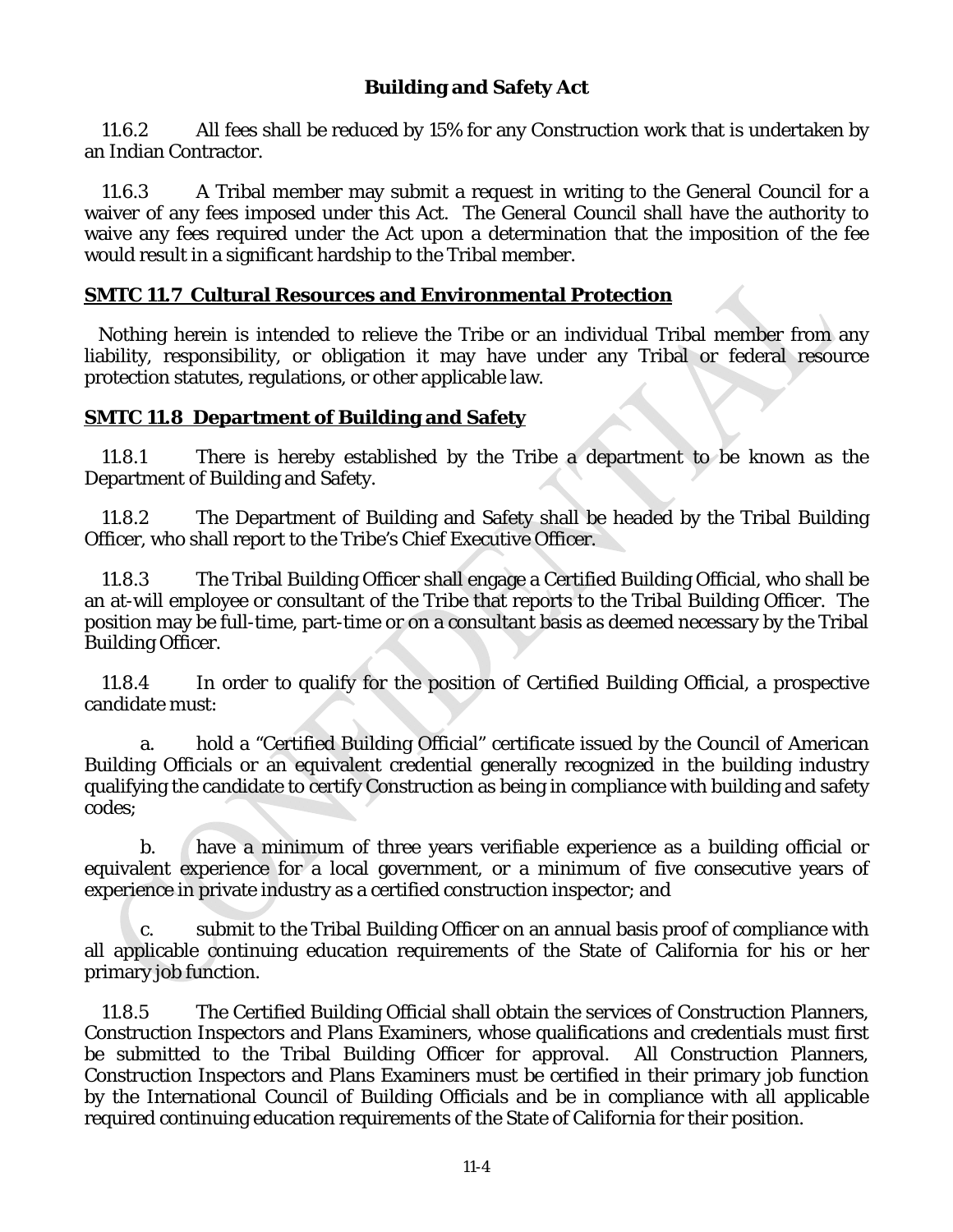11.6.2 All fees shall be reduced by 15% for any Construction work that is undertaken by an Indian Contractor.

11.6.3 A Tribal member may submit a request in writing to the General Council for a waiver of any fees imposed under this Act. The General Council shall have the authority to waive any fees required under the Act upon a determination that the imposition of the fee would result in a significant hardship to the Tribal member.

## **SMTC 11.7 Cultural Resources and Environmental Protection**

Nothing herein is intended to relieve the Tribe or an individual Tribal member from any liability, responsibility, or obligation it may have under any Tribal or federal resource protection statutes, regulations, or other applicable law.

### **SMTC 11.8 Department of Building and Safety**

11.8.1 There is hereby established by the Tribe a department to be known as the Department of Building and Safety.

11.8.2 The Department of Building and Safety shall be headed by the Tribal Building Officer, who shall report to the Tribe's Chief Executive Officer.

11.8.3 The Tribal Building Officer shall engage a Certified Building Official, who shall be an at-will employee or consultant of the Tribe that reports to the Tribal Building Officer. The position may be full-time, part-time or on a consultant basis as deemed necessary by the Tribal Building Officer.

11.8.4 In order to qualify for the position of Certified Building Official, a prospective candidate must:

a. hold a "Certified Building Official" certificate issued by the Council of American Building Officials or an equivalent credential generally recognized in the building industry qualifying the candidate to certify Construction as being in compliance with building and safety codes;

b. have a minimum of three years verifiable experience as a building official or equivalent experience for a local government, or a minimum of five consecutive years of experience in private industry as a certified construction inspector; and

c. submit to the Tribal Building Officer on an annual basis proof of compliance with all applicable continuing education requirements of the State of California for his or her primary job function.

11.8.5 The Certified Building Official shall obtain the services of Construction Planners, Construction Inspectors and Plans Examiners, whose qualifications and credentials must first be submitted to the Tribal Building Officer for approval. All Construction Planners, Construction Inspectors and Plans Examiners must be certified in their primary job function by the International Council of Building Officials and be in compliance with all applicable required continuing education requirements of the State of California for their position.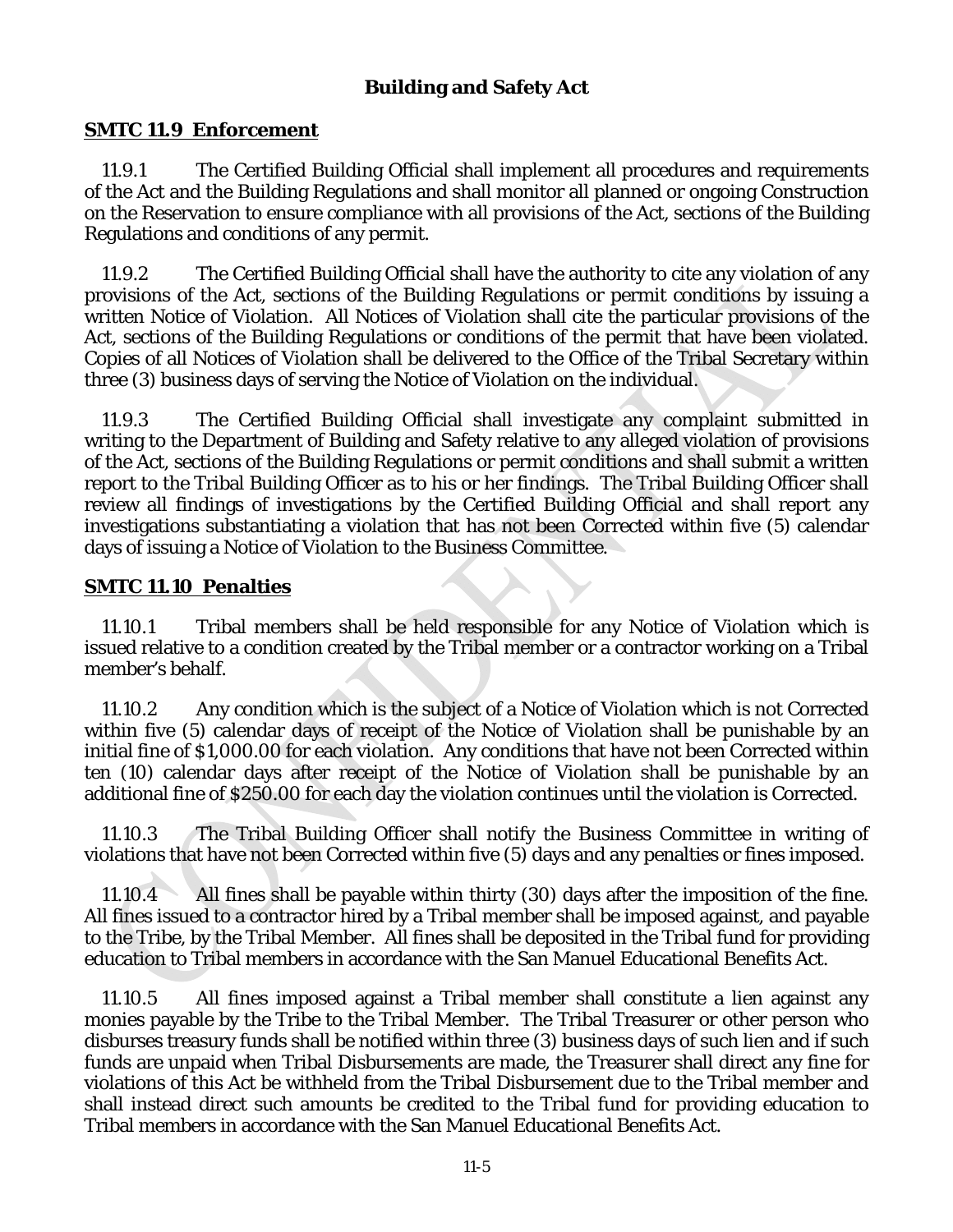### **SMTC 11.9 Enforcement**

11.9.1 The Certified Building Official shall implement all procedures and requirements of the Act and the Building Regulations and shall monitor all planned or ongoing Construction on the Reservation to ensure compliance with all provisions of the Act, sections of the Building Regulations and conditions of any permit.

11.9.2 The Certified Building Official shall have the authority to cite any violation of any provisions of the Act, sections of the Building Regulations or permit conditions by issuing a written Notice of Violation. All Notices of Violation shall cite the particular provisions of the Act, sections of the Building Regulations or conditions of the permit that have been violated. Copies of all Notices of Violation shall be delivered to the Office of the Tribal Secretary within three (3) business days of serving the Notice of Violation on the individual.

11.9.3 The Certified Building Official shall investigate any complaint submitted in writing to the Department of Building and Safety relative to any alleged violation of provisions of the Act, sections of the Building Regulations or permit conditions and shall submit a written report to the Tribal Building Officer as to his or her findings. The Tribal Building Officer shall review all findings of investigations by the Certified Building Official and shall report any investigations substantiating a violation that has not been Corrected within five (5) calendar days of issuing a Notice of Violation to the Business Committee.

#### **SMTC 11.10 Penalties**

11.10.1 Tribal members shall be held responsible for any Notice of Violation which is issued relative to a condition created by the Tribal member or a contractor working on a Tribal member's behalf.

11.10.2 Any condition which is the subject of a Notice of Violation which is not Corrected within five (5) calendar days of receipt of the Notice of Violation shall be punishable by an initial fine of \$1,000.00 for each violation. Any conditions that have not been Corrected within ten (10) calendar days after receipt of the Notice of Violation shall be punishable by an additional fine of \$250.00 for each day the violation continues until the violation is Corrected.

11.10.3 The Tribal Building Officer shall notify the Business Committee in writing of violations that have not been Corrected within five (5) days and any penalties or fines imposed.

11.10.4 All fines shall be payable within thirty (30) days after the imposition of the fine. All fines issued to a contractor hired by a Tribal member shall be imposed against, and payable to the Tribe, by the Tribal Member. All fines shall be deposited in the Tribal fund for providing education to Tribal members in accordance with the San Manuel Educational Benefits Act.

11.10.5 All fines imposed against a Tribal member shall constitute a lien against any monies payable by the Tribe to the Tribal Member. The Tribal Treasurer or other person who disburses treasury funds shall be notified within three (3) business days of such lien and if such funds are unpaid when Tribal Disbursements are made, the Treasurer shall direct any fine for violations of this Act be withheld from the Tribal Disbursement due to the Tribal member and shall instead direct such amounts be credited to the Tribal fund for providing education to Tribal members in accordance with the San Manuel Educational Benefits Act.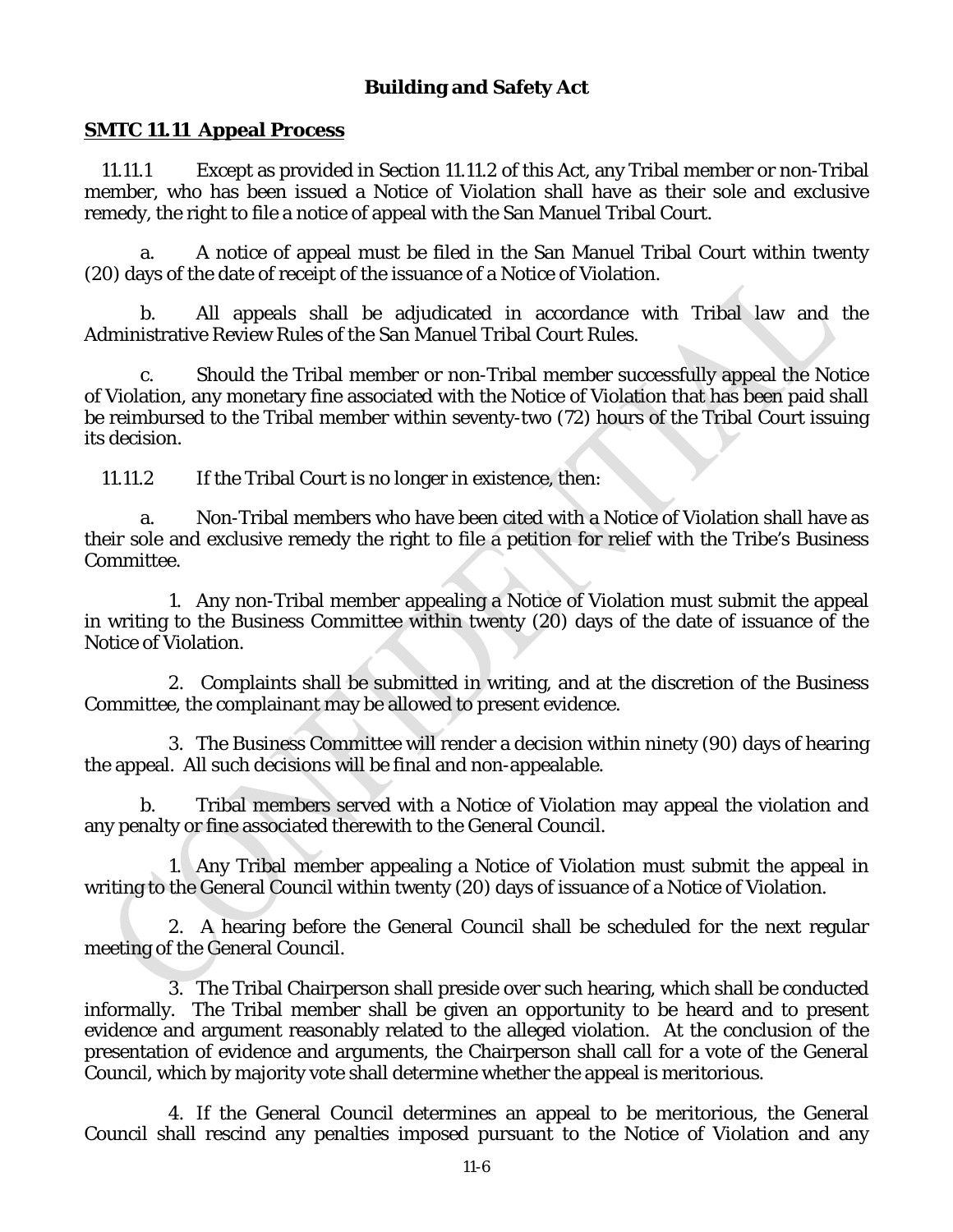### **SMTC 11.11 Appeal Process**

11.11.1 Except as provided in Section 11.11.2 of this Act, any Tribal member or non-Tribal member, who has been issued a Notice of Violation shall have as their sole and exclusive remedy, the right to file a notice of appeal with the San Manuel Tribal Court.

a. A notice of appeal must be filed in the San Manuel Tribal Court within twenty (20) days of the date of receipt of the issuance of a Notice of Violation.

b. All appeals shall be adjudicated in accordance with Tribal law and the Administrative Review Rules of the San Manuel Tribal Court Rules.

c. Should the Tribal member or non-Tribal member successfully appeal the Notice of Violation, any monetary fine associated with the Notice of Violation that has been paid shall be reimbursed to the Tribal member within seventy-two (72) hours of the Tribal Court issuing its decision.

11.11.2 If the Tribal Court is no longer in existence, then:

a. Non-Tribal members who have been cited with a Notice of Violation shall have as their sole and exclusive remedy the right to file a petition for relief with the Tribe's Business Committee.

1. Any non-Tribal member appealing a Notice of Violation must submit the appeal in writing to the Business Committee within twenty (20) days of the date of issuance of the Notice of Violation.

2. Complaints shall be submitted in writing, and at the discretion of the Business Committee, the complainant may be allowed to present evidence.

3. The Business Committee will render a decision within ninety (90) days of hearing the appeal. All such decisions will be final and non-appealable.

b. Tribal members served with a Notice of Violation may appeal the violation and any penalty or fine associated therewith to the General Council.

1. Any Tribal member appealing a Notice of Violation must submit the appeal in writing to the General Council within twenty (20) days of issuance of a Notice of Violation.

2. A hearing before the General Council shall be scheduled for the next regular meeting of the General Council.

3. The Tribal Chairperson shall preside over such hearing, which shall be conducted informally. The Tribal member shall be given an opportunity to be heard and to present evidence and argument reasonably related to the alleged violation. At the conclusion of the presentation of evidence and arguments, the Chairperson shall call for a vote of the General Council, which by majority vote shall determine whether the appeal is meritorious.

4. If the General Council determines an appeal to be meritorious, the General Council shall rescind any penalties imposed pursuant to the Notice of Violation and any